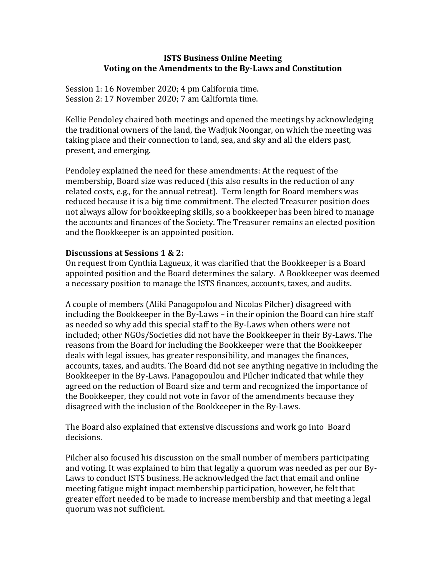## **ISTS Business Online Meeting** Voting on the Amendments to the By-Laws and Constitution

Session 1: 16 November 2020; 4 pm California time. Session 2: 17 November 2020; 7 am California time.

Kellie Pendoley chaired both meetings and opened the meetings by acknowledging the traditional owners of the land, the Wadjuk Noongar, on which the meeting was taking place and their connection to land, sea, and sky and all the elders past, present, and emerging.

Pendoley explained the need for these amendments: At the request of the membership, Board size was reduced (this also results in the reduction of any related costs, e.g., for the annual retreat). Term length for Board members was reduced because it is a big time commitment. The elected Treasurer position does not always allow for bookkeeping skills, so a bookkeeper has been hired to manage the accounts and finances of the Society. The Treasurer remains an elected position and the Bookkeeper is an appointed position.

## **Discussions at Sessions 1 & 2:**

On request from Cynthia Lagueux, it was clarified that the Bookkeeper is a Board appointed position and the Board determines the salary. A Bookkeeper was deemed a necessary position to manage the ISTS finances, accounts, taxes, and audits.

A couple of members (Aliki Panagopolou and Nicolas Pilcher) disagreed with including the Bookkeeper in the By-Laws - in their opinion the Board can hire staff as needed so why add this special staff to the By-Laws when others were not included; other NGOs/Societies did not have the Bookkeeper in their By-Laws. The reasons from the Board for including the Bookkeeper were that the Bookkeeper deals with legal issues, has greater responsibility, and manages the finances, accounts, taxes, and audits. The Board did not see anything negative in including the Bookkeeper in the By-Laws. Panagopoulou and Pilcher indicated that while they agreed on the reduction of Board size and term and recognized the importance of the Bookkeeper, they could not vote in favor of the amendments because they disagreed with the inclusion of the Bookkeeper in the By-Laws.

The Board also explained that extensive discussions and work go into Board decisions.

Pilcher also focused his discussion on the small number of members participating and voting. It was explained to him that legally a quorum was needed as per our By-Laws to conduct ISTS business. He acknowledged the fact that email and online meeting fatigue might impact membership participation, however, he felt that greater effort needed to be made to increase membership and that meeting a legal quorum was not sufficient.